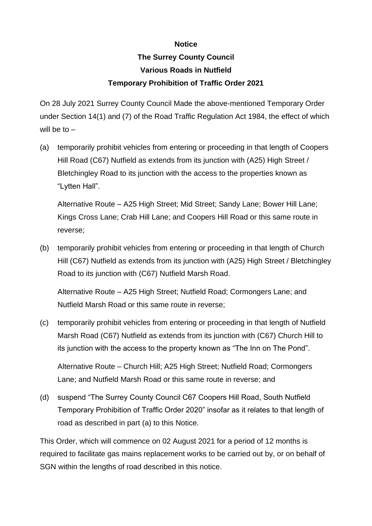## **Notice**

## **The Surrey County Council Various Roads in Nutfield Temporary Prohibition of Traffic Order 2021**

On 28 July 2021 Surrey County Council Made the above-mentioned Temporary Order under Section 14(1) and (7) of the Road Traffic Regulation Act 1984, the effect of which will be to  $-$ 

(a) temporarily prohibit vehicles from entering or proceeding in that length of Coopers Hill Road (C67) Nutfield as extends from its junction with (A25) High Street / Bletchingley Road to its junction with the access to the properties known as "Lytten Hall".

Alternative Route – A25 High Street; Mid Street; Sandy Lane; Bower Hill Lane; Kings Cross Lane; Crab Hill Lane; and Coopers Hill Road or this same route in reverse;

(b) temporarily prohibit vehicles from entering or proceeding in that length of Church Hill (C67) Nutfield as extends from its junction with (A25) High Street / Bletchingley Road to its junction with (C67) Nutfield Marsh Road.

Alternative Route – A25 High Street; Nutfield Road; Cormongers Lane; and Nutfield Marsh Road or this same route in reverse;

(c) temporarily prohibit vehicles from entering or proceeding in that length of Nutfield Marsh Road (C67) Nutfield as extends from its junction with (C67) Church Hill to its junction with the access to the property known as "The Inn on The Pond".

Alternative Route – Church Hill; A25 High Street; Nutfield Road; Cormongers Lane; and Nutfield Marsh Road or this same route in reverse; and

(d) suspend "The Surrey County Council C67 Coopers Hill Road, South Nutfield Temporary Prohibition of Traffic Order 2020" insofar as it relates to that length of road as described in part (a) to this Notice.

This Order, which will commence on 02 August 2021 for a period of 12 months is required to facilitate gas mains replacement works to be carried out by, or on behalf of SGN within the lengths of road described in this notice.